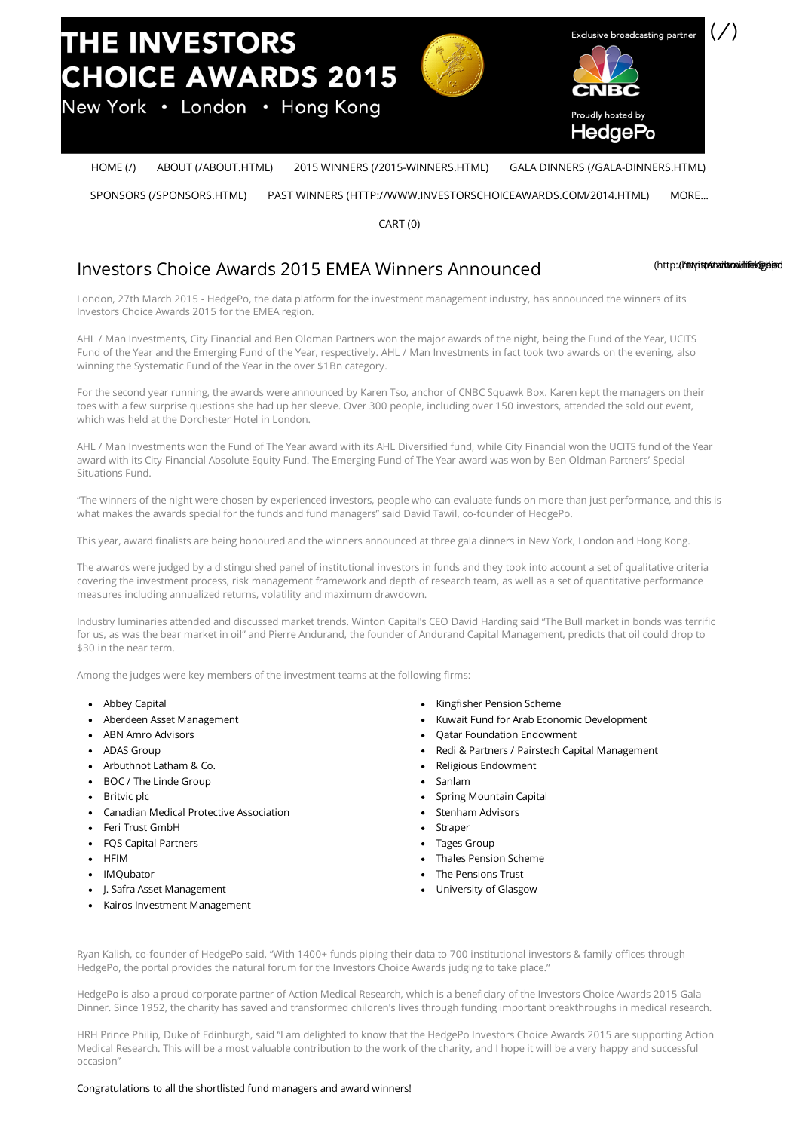

[HOME](http://www.investorschoiceawards.com/) (/) ABOUT [\(/ABOUT.HTML\)](http://www.investorschoiceawards.com/about.html) 2015 WINNERS [\(/2015-WINNERS.HTML\)](http://www.investorschoiceawards.com/2015-winners.html) GALA DINNERS [\(/GALA-DINNERS.HTML\)](http://www.investorschoiceawards.com/gala-dinners.html)

SPONSORS [\(/SPONSORS.HTML\)](http://www.investorschoiceawards.com/sponsors.html) PAST WINNERS [\(HTTP://WWW.INVESTORSCHOICEAWARDS.COM/2014.HTML\)](http://www.investorschoiceawards.com/2014.html) MORE...

CART (0)

# Investors Choice Awards 2015 EMEA Winners Announced

[\(http](http://twitter.com/hedgepo)://ttw.ittehaitwow.ihiek@ebiendo.com

London, 27th March 2015 - HedgePo, the data platform for the investment management industry, has announced the winners of its Investors Choice Awards 2015 for the EMEA region.

AHL / Man Investments, City Financial and Ben Oldman Partners won the major awards of the night, being the Fund of the Year, UCITS Fund of the Year and the Emerging Fund of the Year, respectively. AHL / Man Investments in fact took two awards on the evening, also winning the Systematic Fund of the Year in the over \$1Bn category.

For the second year running, the awards were announced by Karen Tso, anchor of CNBC Squawk Box. Karen kept the managers on their toes with a few surprise questions she had up her sleeve. Over 300 people, including over 150 investors, attended the sold out event, which was held at the Dorchester Hotel in London.

AHL / Man Investments won the Fund of The Year award with its AHL Diversified fund, while City Financial won the UCITS fund of the Year award with its City Financial Absolute Equity Fund. The Emerging Fund of The Year award was won by Ben Oldman Partners' Special Situations Fund.

"The winners of the night were chosen by experienced investors, people who can evaluate funds on more than just performance, and this is what makes the awards special for the funds and fund managers" said David Tawil, co-founder of HedgePo.

This year, award finalists are being honoured and the winners announced at three gala dinners in New York, London and Hong Kong.

The awards were judged by a distinguished panel of institutional investors in funds and they took into account a set of qualitative criteria covering the investment process, risk management framework and depth of research team, as well as a set of quantitative performance measures including annualized returns, volatility and maximum drawdown.

Industry luminaries attended and discussed market trends. Winton Capital's CEO David Harding said "The Bull market in bonds was terrific for us, as was the bear market in oil" and Pierre Andurand, the founder of Andurand Capital Management, predicts that oil could drop to \$30 in the near term.

Among the judges were key members of the investment teams at the following firms:

- Abbey Capital
- Aberdeen Asset Management
- ABN Amro Advisors
- ADAS Group
- Arbuthnot Latham & Co.
- BOC / The Linde Group
- Britvic plc
- Canadian Medical Protective Association
- Feri Trust GmbH
- FQS Capital Partners
- **HFIM**
- IMQubator
- J. Safra Asset Management
- Kairos Investment Management
- Kingfisher Pension Scheme
- Kuwait Fund for Arab Economic Development
- Qatar Foundation Endowment
- Redi & Partners / Pairstech Capital Management
- Religious Endowment
- Sanlam
- Spring Mountain Capital
- Stenham Advisors
- Straper
- Tages Group
- Thales Pension Scheme
- The Pensions Trust
- University of Glasgow

Ryan Kalish, co-founder of HedgePo said, "With 1400+ funds piping their data to 700 institutional investors & family offices through HedgePo, the portal provides the natural forum for the Investors Choice Awards judging to take place."

HedgePo is also a proud corporate partner of Action Medical Research, which is a beneficiary of the Investors Choice Awards 2015 Gala Dinner. Since 1952, the charity has saved and transformed children's lives through funding important breakthroughs in medical research.

HRH Prince Philip, Duke of Edinburgh, said "I am delighted to know that the HedgePo Investors Choice Awards 2015 are supporting Action Medical Research. This will be a most valuable contribution to the work of the charity, and I hope it will be a very happy and successful occasion"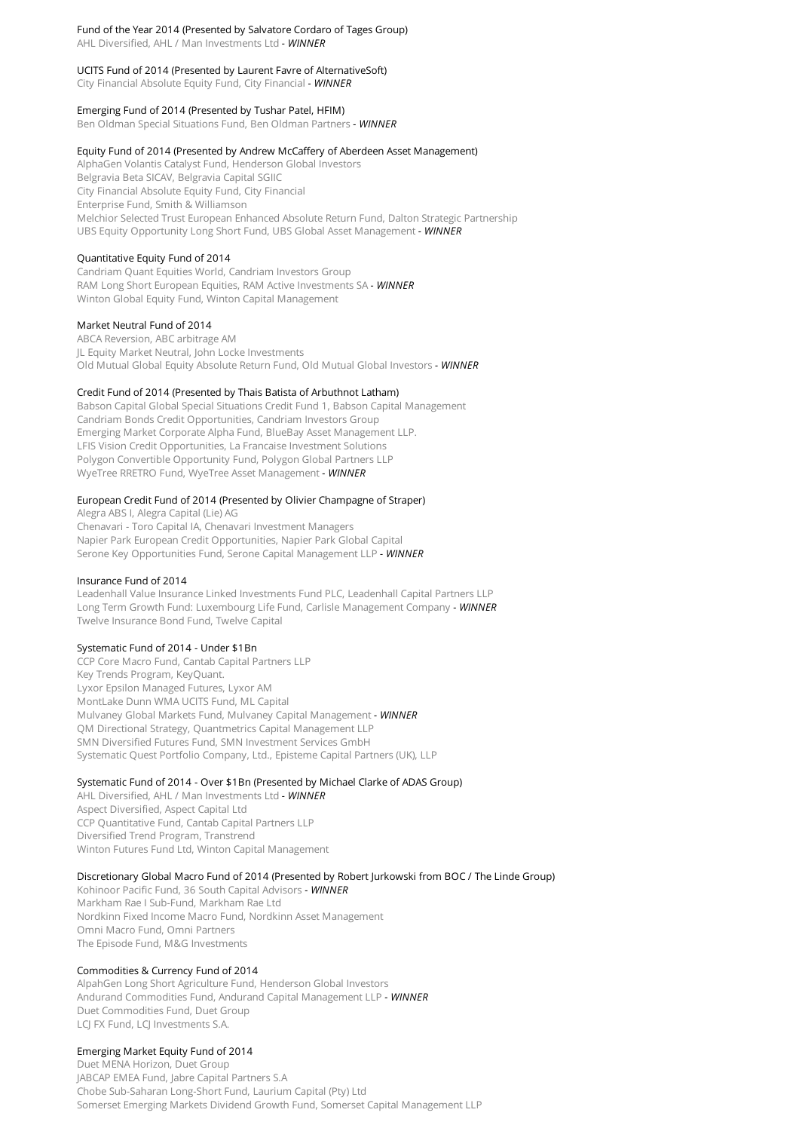# Fund of the Year 2014 (Presented by Salvatore Cordaro of Tages Group)

AHL Diversified, AHL / Man Investments Ltd *- WINNER*

## UCITS Fund of 2014 (Presented by Laurent Favre of AlternativeSoft)

City Financial Absolute Equity Fund, City Financial *- WINNER*

## Emerging Fund of 2014 (Presented by Tushar Patel, HFIM)

Ben Oldman Special Situations Fund, Ben Oldman Partners *- WINNER*

#### Equity Fund of 2014 (Presented by Andrew McCaffery of Aberdeen Asset Management)

AlphaGen Volantis Catalyst Fund, Henderson Global Investors Belgravia Beta SICAV, Belgravia Capital SGIIC City Financial Absolute Equity Fund, City Financial Enterprise Fund, Smith & Williamson Melchior Selected Trust European Enhanced Absolute Return Fund, Dalton Strategic Partnership UBS Equity Opportunity Long Short Fund, UBS Global Asset Management *- WINNER*

## Quantitative Equity Fund of 2014

Candriam Quant Equities World, Candriam Investors Group RAM Long Short European Equities, RAM Active Investments SA *- WINNER* Winton Global Equity Fund, Winton Capital Management

#### Market Neutral Fund of 2014

ABCA Reversion, ABC arbitrage AM JL Equity Market Neutral, John Locke Investments Old Mutual Global Equity Absolute Return Fund, Old Mutual Global Investors *- WINNER*

## Credit Fund of 2014 (Presented by Thais Batista of Arbuthnot Latham)

Babson Capital Global Special Situations Credit Fund 1, Babson Capital Management Candriam Bonds Credit Opportunities, Candriam Investors Group Emerging Market Corporate Alpha Fund, BlueBay Asset Management LLP. LFIS Vision Credit Opportunities, La Francaise Investment Solutions Polygon Convertible Opportunity Fund, Polygon Global Partners LLP WyeTree RRETRO Fund, WyeTree Asset Management *- WINNER*

## European Credit Fund of 2014 (Presented by Olivier Champagne of Straper)

Alegra ABS I, Alegra Capital (Lie) AG Chenavari - Toro Capital IA, Chenavari Investment Managers Napier Park European Credit Opportunities, Napier Park Global Capital Serone Key Opportunities Fund, Serone Capital Management LLP *- WINNER*

## Insurance Fund of 2014

Leadenhall Value Insurance Linked Investments Fund PLC, Leadenhall Capital Partners LLP Long Term Growth Fund: Luxembourg Life Fund, Carlisle Management Company *- WINNER* Twelve Insurance Bond Fund, Twelve Capital

#### Systematic Fund of 2014 - Under \$1Bn

CCP Core Macro Fund, Cantab Capital Partners LLP Key Trends Program, KeyQuant. Lyxor Epsilon Managed Futures, Lyxor AM MontLake Dunn WMA UCITS Fund, ML Capital Mulvaney Global Markets Fund, Mulvaney Capital Management *- WINNER* QM Directional Strategy, Quantmetrics Capital Management LLP SMN Diversified Futures Fund, SMN Investment Services GmbH Systematic Quest Portfolio Company, Ltd., Episteme Capital Partners (UK), LLP

## Systematic Fund of 2014 - Over \$1Bn (Presented by Michael Clarke of ADAS Group)

AHL Diversified, AHL / Man Investments Ltd *- WINNER* Aspect Diversified, Aspect Capital Ltd CCP Quantitative Fund, Cantab Capital Partners LLP Diversified Trend Program, Transtrend Winton Futures Fund Ltd, Winton Capital Management

## Discretionary Global Macro Fund of 2014 (Presented by Robert Jurkowski from BOC / The Linde Group)

Kohinoor Pacific Fund, 36 South Capital Advisors *- WINNER* Markham Rae I Sub-Fund, Markham Rae Ltd Nordkinn Fixed Income Macro Fund, Nordkinn Asset Management Omni Macro Fund, Omni Partners The Episode Fund, M&G Investments

## Commodities & Currency Fund of 2014

AlpahGen Long Short Agriculture Fund, Henderson Global Investors Andurand Commodities Fund, Andurand Capital Management LLP *- WINNER*Duet Commodities Fund, Duet Group LCJ FX Fund, LCJ Investments S.A.

## Emerging Market Equity Fund of 2014

Duet MENA Horizon, Duet Group JABCAP EMEA Fund, Jabre Capital Partners S.A Chobe Sub-Saharan Long-Short Fund, Laurium Capital (Pty) Ltd Somerset Emerging Markets Dividend Growth Fund, Somerset Capital Management LLP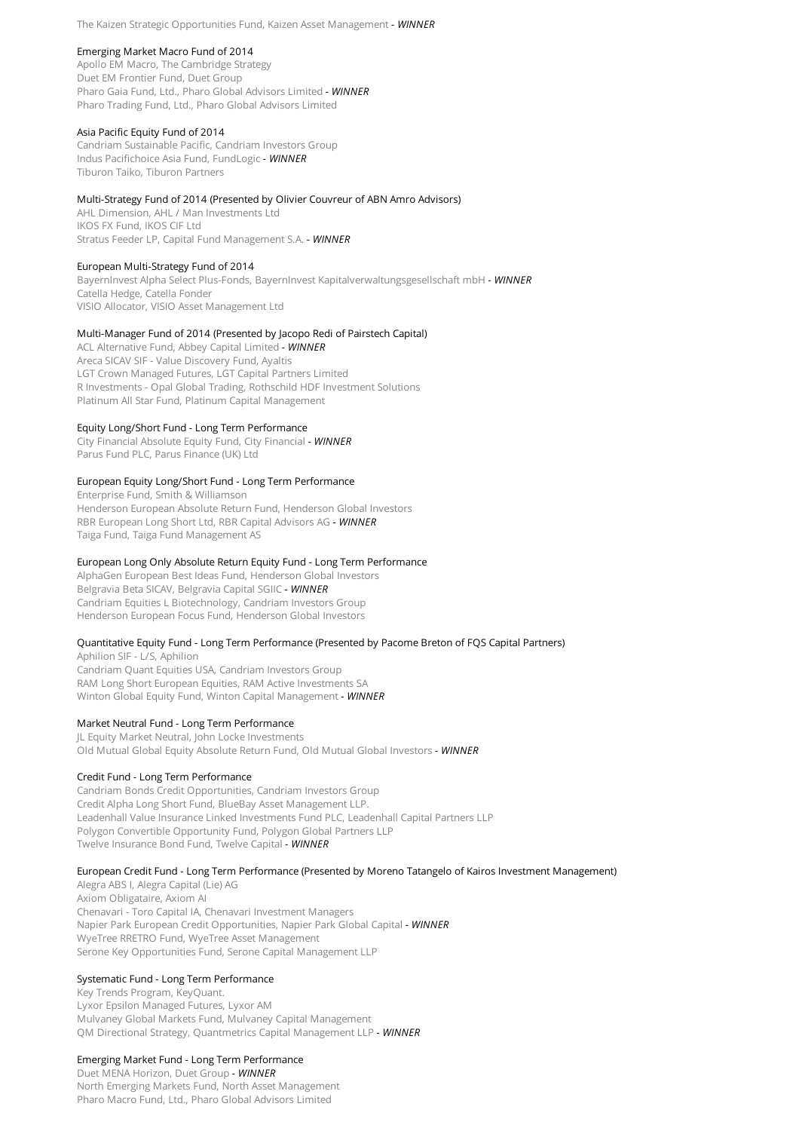#### Emerging Market Macro Fund of 2014

Apollo EM Macro, The Cambridge Strategy Duet EM Frontier Fund, Duet Group Pharo Gaia Fund, Ltd., Pharo Global Advisors Limited *- WINNER* Pharo Trading Fund, Ltd., Pharo Global Advisors Limited

## Asia Pacific Equity Fund of 2014

Candriam Sustainable Pacific, Candriam Investors Group Indus Pacifichoice Asia Fund, FundLogic *- WINNER* Tiburon Taiko, Tiburon Partners

## Multi-Strategy Fund of 2014 (Presented by Olivier Couvreur of ABN Amro Advisors)

AHL Dimension, AHL / Man Investments Ltd IKOS FX Fund, IKOS CIF Ltd Stratus Feeder LP, Capital Fund Management S.A. *- WINNER*

#### European Multi-Strategy Fund of 2014

BayernInvest Alpha Select Plus-Fonds, BayernInvest Kapitalverwaltungsgesellschaft mbH *- WINNER* Catella Hedge, Catella Fonder VISIO Allocator, VISIO Asset Management Ltd

#### Multi-Manager Fund of 2014 (Presented by Jacopo Redi of Pairstech Capital)

ACL Alternative Fund, Abbey Capital Limited *- WINNER* Areca SICAV SIF - Value Discovery Fund, Ayaltis LGT Crown Managed Futures, LGT Capital Partners Limited R Investments - Opal Global Trading, Rothschild HDF Investment Solutions Platinum All Star Fund, Platinum Capital Management

#### Equity Long/Short Fund - Long Term Performance

City Financial Absolute Equity Fund, City Financial *- WINNER* Parus Fund PLC, Parus Finance (UK) Ltd

#### European Equity Long/Short Fund - Long Term Performance

Enterprise Fund, Smith & Williamson Henderson European Absolute Return Fund, Henderson Global Investors RBR European Long Short Ltd, RBR Capital Advisors AG *- WINNER* Taiga Fund, Taiga Fund Management AS

#### European Long Only Absolute Return Equity Fund - Long Term Performance

AlphaGen European Best Ideas Fund, Henderson Global Investors Belgravia Beta SICAV, Belgravia Capital SGIIC *- WINNER* Candriam Equities L Biotechnology, Candriam Investors Group Henderson European Focus Fund, Henderson Global Investors

#### Quantitative Equity Fund - Long Term Performance (Presented by Pacome Breton of FQS Capital Partners)

Aphilion SIF - L/S, Aphilion Candriam Quant Equities USA, Candriam Investors Group RAM Long Short European Equities, RAM Active Investments SA Winton Global Equity Fund, Winton Capital Management *- WINNER*

## Market Neutral Fund - Long Term Performance

JL Equity Market Neutral, John Locke Investments Old Mutual Global Equity Absolute Return Fund, Old Mutual Global Investors *- WINNER*

#### Credit Fund - Long Term Performance

Candriam Bonds Credit Opportunities, Candriam Investors Group Credit Alpha Long Short Fund, BlueBay Asset Management LLP. Leadenhall Value Insurance Linked Investments Fund PLC, Leadenhall Capital Partners LLP Polygon Convertible Opportunity Fund, Polygon Global Partners LLP Twelve Insurance Bond Fund, Twelve Capital *- WINNER*

#### European Credit Fund - Long Term Performance (Presented by Moreno Tatangelo of Kairos Investment Management)

Alegra ABS I, Alegra Capital (Lie) AG Axiom Obligataire, Axiom AI Chenavari - Toro Capital IA, Chenavari Investment Managers Napier Park European Credit Opportunities, Napier Park Global Capital *- WINNER* WyeTree RRETRO Fund, WyeTree Asset Management Serone Key Opportunities Fund, Serone Capital Management LLP

## Systematic Fund - Long Term Performance

Key Trends Program, KeyQuant. Lyxor Epsilon Managed Futures, Lyxor AM Mulvaney Global Markets Fund, Mulvaney Capital Management QM Directional Strategy, Quantmetrics Capital Management LLP *- WINNER*

#### Emerging Market Fund - Long Term Performance

Duet MENA Horizon, Duet Group *- WINNER*North Emerging Markets Fund, North Asset Management Pharo Macro Fund, Ltd., Pharo Global Advisors Limited